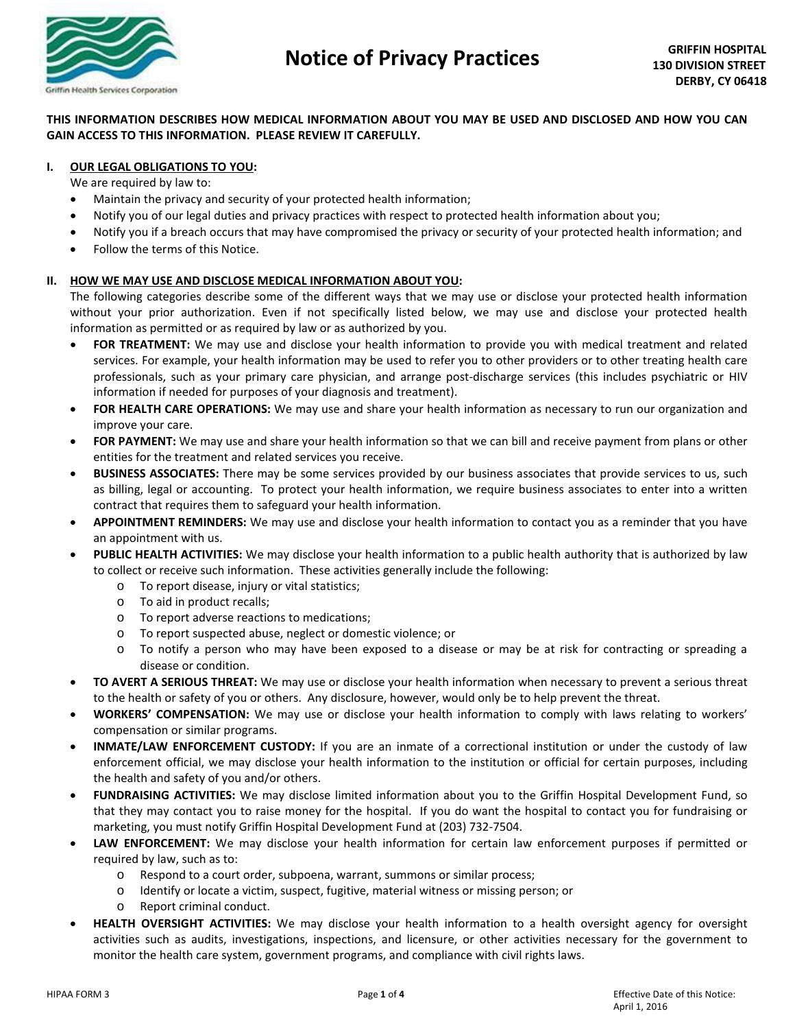

# **THIS INFORMATION DESCRIBES HOW MEDICAL INFORMATION ABOUT YOU MAY BE USED AND DISCLOSED AND HOW YOU CAN GAIN ACCESS TO THIS INFORMATION. PLEASE REVIEW IT CAREFULLY.**

## **I. OUR LEGAL OBLIGATIONS TO YOU:**

We are required by law to:

- Maintain the privacy and security of your protected health information;
- Notify you of our legal duties and privacy practices with respect to protected health information about you;
- Notify you if a breach occurs that may have compromised the privacy or security of your protected health information; and
- Follow the terms of this Notice.

### **II. HOW WE MAY USE AND DISCLOSE MEDICAL INFORMATION ABOUT YOU:**

The following categories describe some of the different ways that we may use or disclose your protected health information without your prior authorization. Even if not specifically listed below, we may use and disclose your protected health information as permitted or as required by law or as authorized by you.

- **FOR TREATMENT:** We may use and disclose your health information to provide you with medical treatment and related services. For example, your health information may be used to refer you to other providers or to other treating health care professionals, such as your primary care physician, and arrange post-discharge services (this includes psychiatric or HIV information if needed for purposes of your diagnosis and treatment).
- **FOR HEALTH CARE OPERATIONS:** We may use and share your health information as necessary to run our organization and improve your care.
- **FOR PAYMENT:** We may use and share your health information so that we can bill and receive payment from plans or other entities for the treatment and related services you receive.
- **BUSINESS ASSOCIATES:** There may be some services provided by our business associates that provide services to us, such as billing, legal or accounting. To protect your health information, we require business associates to enter into a written contract that requires them to safeguard your health information.
- **APPOINTMENT REMINDERS:** We may use and disclose your health information to contact you as a reminder that you have an appointment with us.
- **PUBLIC HEALTH ACTIVITIES:** We may disclose your health information to a public health authority that is authorized by law to collect or receive such information. These activities generally include the following:
	- o To report disease, injury or vital statistics;
	- o To aid in product recalls;
	- o To report adverse reactions to medications;
	- o To report suspected abuse, neglect or domestic violence; or
	- o To notify a person who may have been exposed to a disease or may be at risk for contracting or spreading a disease or condition.
- **TO AVERT A SERIOUS THREAT:** We may use or disclose your health information when necessary to prevent a serious threat to the health or safety of you or others. Any disclosure, however, would only be to help prevent the threat.
- **WORKERS' COMPENSATION:** We may use or disclose your health information to comply with laws relating to workers' compensation or similar programs.
- **INMATE/LAW ENFORCEMENT CUSTODY:** If you are an inmate of a correctional institution or under the custody of law enforcement official, we may disclose your health information to the institution or official for certain purposes, including the health and safety of you and/or others.
- **FUNDRAISING ACTIVITIES:** We may disclose limited information about you to the Griffin Hospital Development Fund, so that they may contact you to raise money for the hospital. If you do want the hospital to contact you for fundraising or marketing, you must notify Griffin Hospital Development Fund at (203) 732-7504.
- LAW ENFORCEMENT: We may disclose your health information for certain law enforcement purposes if permitted or required by law, such as to:
	- o Respond to a court order, subpoena, warrant, summons or similar process;
	- o Identify or locate a victim, suspect, fugitive, material witness or missing person; or
	- o Report criminal conduct.
- **HEALTH OVERSIGHT ACTIVITIES:** We may disclose your health information to a health oversight agency for oversight activities such as audits, investigations, inspections, and licensure, or other activities necessary for the government to monitor the health care system, government programs, and compliance with civil rights laws.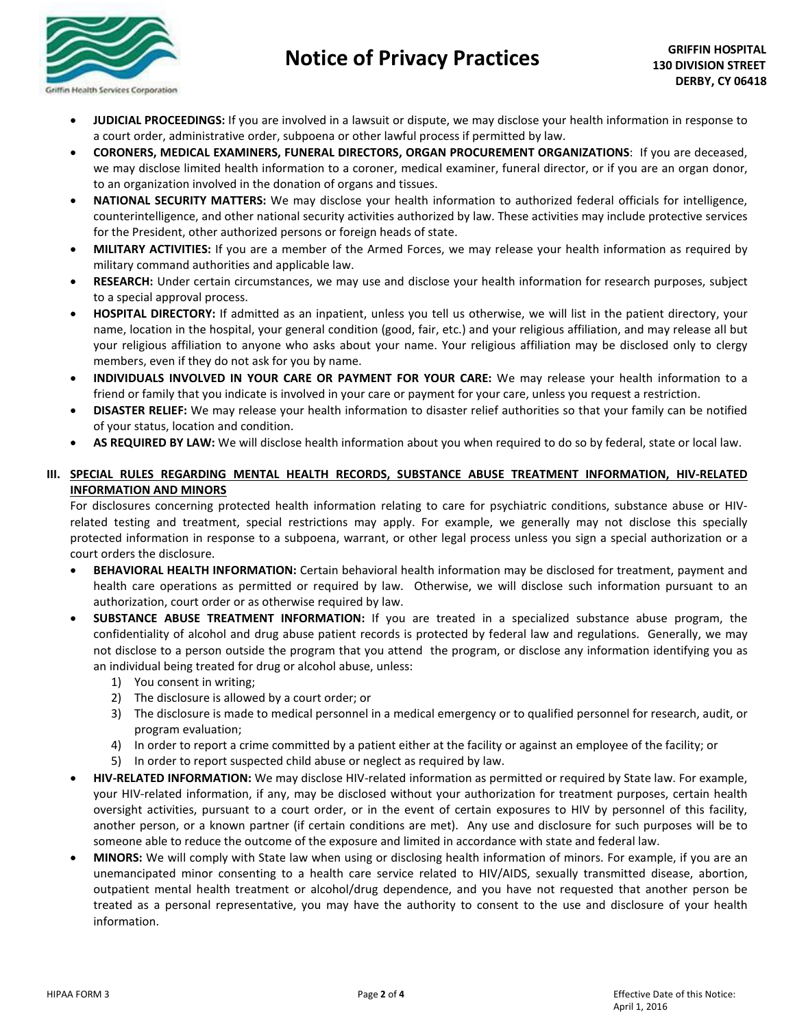

# **Notice of Privacy Practices**

- **JUDICIAL PROCEEDINGS:** If you are involved in a lawsuit or dispute, we may disclose your health information in response to a court order, administrative order, subpoena or other lawful process if permitted by law.
- **CORONERS, MEDICAL EXAMINERS, FUNERAL DIRECTORS, ORGAN PROCUREMENT ORGANIZATIONS**: If you are deceased, we may disclose limited health information to a coroner, medical examiner, funeral director, or if you are an organ donor, to an organization involved in the donation of organs and tissues.
- **NATIONAL SECURITY MATTERS:** We may disclose your health information to authorized federal officials for intelligence, counterintelligence, and other national security activities authorized by law. These activities may include protective services for the President, other authorized persons or foreign heads of state.
- **MILITARY ACTIVITIES:** If you are a member of the Armed Forces, we may release your health information as required by military command authorities and applicable law.
- **RESEARCH:** Under certain circumstances, we may use and disclose your health information for research purposes, subject to a special approval process.
- **HOSPITAL DIRECTORY:** If admitted as an inpatient, unless you tell us otherwise, we will list in the patient directory, your name, location in the hospital, your general condition (good, fair, etc.) and your religious affiliation, and may release all but your religious affiliation to anyone who asks about your name. Your religious affiliation may be disclosed only to clergy members, even if they do not ask for you by name.
- **INDIVIDUALS INVOLVED IN YOUR CARE OR PAYMENT FOR YOUR CARE:** We may release your health information to a friend or family that you indicate is involved in your care or payment for your care, unless you request a restriction.
- **DISASTER RELIEF:** We may release your health information to disaster relief authorities so that your family can be notified of your status, location and condition.
- **AS REQUIRED BY LAW:** We will disclose health information about you when required to do so by federal, state or local law.

# **III. SPECIAL RULES REGARDING MENTAL HEALTH RECORDS, SUBSTANCE ABUSE TREATMENT INFORMATION, HIV-RELATED INFORMATION AND MINORS**

For disclosures concerning protected health information relating to care for psychiatric conditions, substance abuse or HIVrelated testing and treatment, special restrictions may apply. For example, we generally may not disclose this specially protected information in response to a subpoena, warrant, or other legal process unless you sign a special authorization or a court orders the disclosure.

- **BEHAVIORAL HEALTH INFORMATION:** Certain behavioral health information may be disclosed for treatment, payment and health care operations as permitted or required by law. Otherwise, we will disclose such information pursuant to an authorization, court order or as otherwise required by law.
- **SUBSTANCE ABUSE TREATMENT INFORMATION:** If you are treated in a specialized substance abuse program, the confidentiality of alcohol and drug abuse patient records is protected by federal law and regulations. Generally, we may not disclose to a person outside the program that you attend the program, or disclose any information identifying you as an individual being treated for drug or alcohol abuse, unless:
	- 1) You consent in writing;
	- 2) The disclosure is allowed by a court order; or
	- 3) The disclosure is made to medical personnel in a medical emergency or to qualified personnel for research, audit, or program evaluation;
	- 4) In order to report a crime committed by a patient either at the facility or against an employee of the facility; or
	- 5) In order to report suspected child abuse or neglect as required by law.
- **HIV-RELATED INFORMATION:** We may disclose HIV-related information as permitted or required by State law. For example, your HIV-related information, if any, may be disclosed without your authorization for treatment purposes, certain health oversight activities, pursuant to a court order, or in the event of certain exposures to HIV by personnel of this facility, another person, or a known partner (if certain conditions are met). Any use and disclosure for such purposes will be to someone able to reduce the outcome of the exposure and limited in accordance with state and federal law.
- **MINORS:** We will comply with State law when using or disclosing health information of minors. For example, if you are an unemancipated minor consenting to a health care service related to HIV/AIDS, sexually transmitted disease, abortion, outpatient mental health treatment or alcohol/drug dependence, and you have not requested that another person be treated as a personal representative, you may have the authority to consent to the use and disclosure of your health information.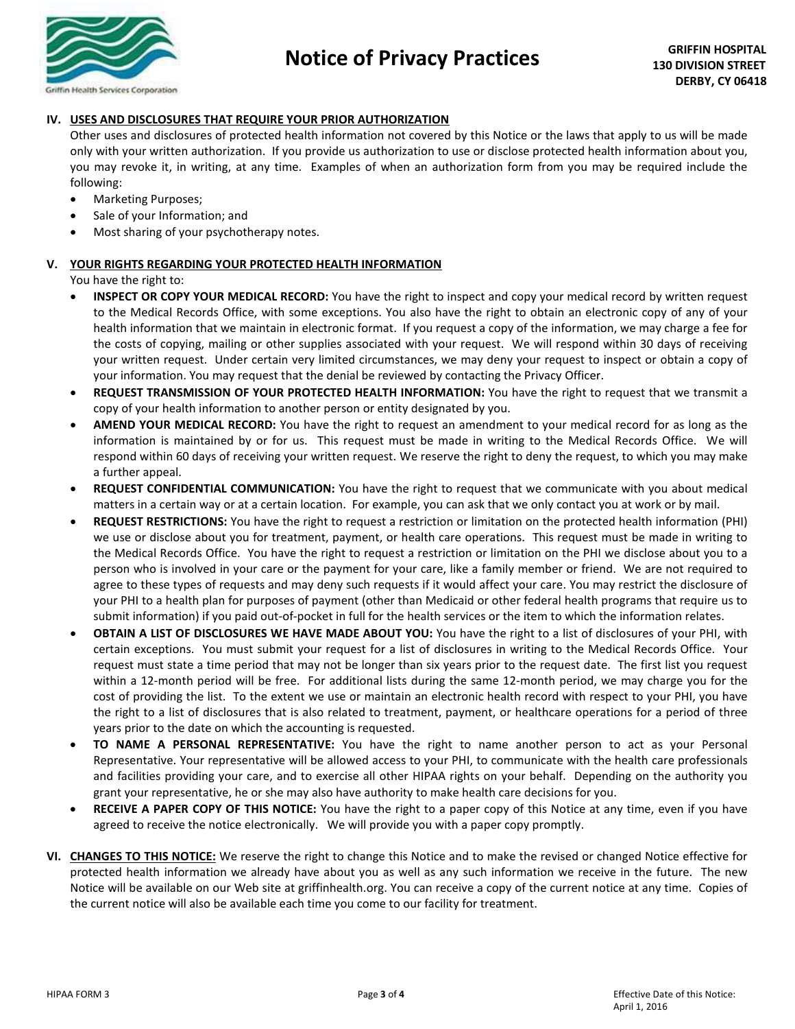

# **IV. USES AND DISCLOSURES THAT REQUIRE YOUR PRIOR AUTHORIZATION**

Other uses and disclosures of protected health information not covered by this Notice or the laws that apply to us will be made only with your written authorization. If you provide us authorization to use or disclose protected health information about you, you may revoke it, in writing, at any time. Examples of when an authorization form from you may be required include the following:

- Marketing Purposes;
- Sale of your Information; and
- Most sharing of your psychotherapy notes.

### **V. YOUR RIGHTS REGARDING YOUR PROTECTED HEALTH INFORMATION**

You have the right to:

- **INSPECT OR COPY YOUR MEDICAL RECORD:** You have the right to inspect and copy your medical record by written request to the Medical Records Office, with some exceptions. You also have the right to obtain an electronic copy of any of your health information that we maintain in electronic format. If you request a copy of the information, we may charge a fee for the costs of copying, mailing or other supplies associated with your request. We will respond within 30 days of receiving your written request. Under certain very limited circumstances, we may deny your request to inspect or obtain a copy of your information. You may request that the denial be reviewed by contacting the Privacy Officer.
- **REQUEST TRANSMISSION OF YOUR PROTECTED HEALTH INFORMATION:** You have the right to request that we transmit a copy of your health information to another person or entity designated by you.
- **AMEND YOUR MEDICAL RECORD:** You have the right to request an amendment to your medical record for as long as the information is maintained by or for us. This request must be made in writing to the Medical Records Office. We will respond within 60 days of receiving your written request. We reserve the right to deny the request, to which you may make a further appeal.
- **REQUEST CONFIDENTIAL COMMUNICATION:** You have the right to request that we communicate with you about medical matters in a certain way or at a certain location. For example, you can ask that we only contact you at work or by mail.
- **REQUEST RESTRICTIONS:** You have the right to request a restriction or limitation on the protected health information (PHI) we use or disclose about you for treatment, payment, or health care operations. This request must be made in writing to the Medical Records Office. You have the right to request a restriction or limitation on the PHI we disclose about you to a person who is involved in your care or the payment for your care, like a family member or friend. We are not required to agree to these types of requests and may deny such requests if it would affect your care. You may restrict the disclosure of your PHI to a health plan for purposes of payment (other than Medicaid or other federal health programs that require us to submit information) if you paid out-of-pocket in full for the health services or the item to which the information relates.
- **OBTAIN A LIST OF DISCLOSURES WE HAVE MADE ABOUT YOU:** You have the right to a list of disclosures of your PHI, with certain exceptions. You must submit your request for a list of disclosures in writing to the Medical Records Office. Your request must state a time period that may not be longer than six years prior to the request date. The first list you request within a 12-month period will be free. For additional lists during the same 12-month period, we may charge you for the cost of providing the list. To the extent we use or maintain an electronic health record with respect to your PHI, you have the right to a list of disclosures that is also related to treatment, payment, or healthcare operations for a period of three years prior to the date on which the accounting is requested.
- **TO NAME A PERSONAL REPRESENTATIVE:** You have the right to name another person to act as your Personal Representative. Your representative will be allowed access to your PHI, to communicate with the health care professionals and facilities providing your care, and to exercise all other HIPAA rights on your behalf. Depending on the authority you grant your representative, he or she may also have authority to make health care decisions for you.
- **RECEIVE A PAPER COPY OF THIS NOTICE:** You have the right to a paper copy of this Notice at any time, even if you have agreed to receive the notice electronically. We will provide you with a paper copy promptly.
- **VI. CHANGES TO THIS NOTICE:** We reserve the right to change this Notice and to make the revised or changed Notice effective for protected health information we already have about you as well as any such information we receive in the future. The new Notice will be available on our Web site at griffinhealth.org. You can receive a copy of the current notice at any time. Copies of the current notice will also be available each time you come to our facility for treatment.